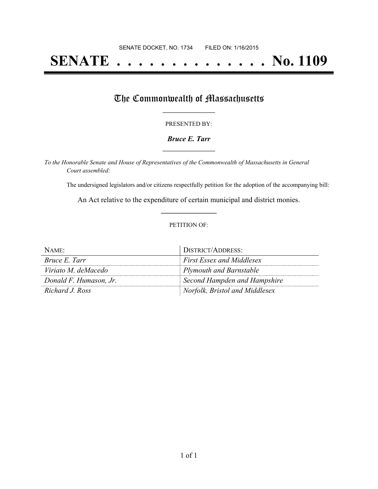# **SENATE . . . . . . . . . . . . . . No. 1109**

## The Commonwealth of Massachusetts

#### PRESENTED BY:

#### *Bruce E. Tarr* **\_\_\_\_\_\_\_\_\_\_\_\_\_\_\_\_\_**

*To the Honorable Senate and House of Representatives of the Commonwealth of Massachusetts in General Court assembled:*

The undersigned legislators and/or citizens respectfully petition for the adoption of the accompanying bill:

An Act relative to the expenditure of certain municipal and district monies. **\_\_\_\_\_\_\_\_\_\_\_\_\_\_\_**

#### PETITION OF:

| NAME:                  | DISTRICT/ADDRESS:                |
|------------------------|----------------------------------|
| <i>Bruce E. Tarr</i>   | <b>First Essex and Middlesex</b> |
| Viriato M. deMacedo    | Plymouth and Barnstable          |
| Donald F. Humason, Jr. | Second Hampden and Hampshire     |
| Richard J. Ross        | Norfolk, Bristol and Middlesex   |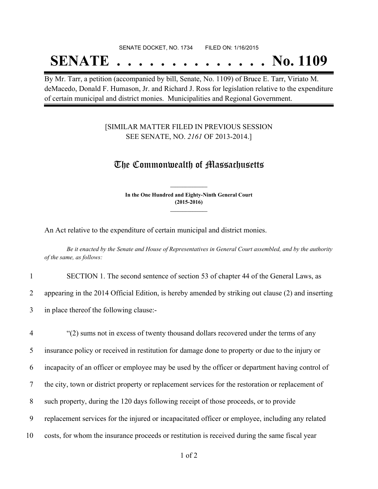#### SENATE DOCKET, NO. 1734 FILED ON: 1/16/2015

## **SENATE . . . . . . . . . . . . . . No. 1109**

By Mr. Tarr, a petition (accompanied by bill, Senate, No. 1109) of Bruce E. Tarr, Viriato M. deMacedo, Donald F. Humason, Jr. and Richard J. Ross for legislation relative to the expenditure of certain municipal and district monies. Municipalities and Regional Government.

### [SIMILAR MATTER FILED IN PREVIOUS SESSION SEE SENATE, NO. *2161* OF 2013-2014.]

### The Commonwealth of Massachusetts

**In the One Hundred and Eighty-Ninth General Court (2015-2016) \_\_\_\_\_\_\_\_\_\_\_\_\_\_\_**

**\_\_\_\_\_\_\_\_\_\_\_\_\_\_\_**

An Act relative to the expenditure of certain municipal and district monies.

Be it enacted by the Senate and House of Representatives in General Court assembled, and by the authority *of the same, as follows:*

1 SECTION 1. The second sentence of section 53 of chapter 44 of the General Laws, as

2 appearing in the 2014 Official Edition, is hereby amended by striking out clause (2) and inserting

3 in place thereof the following clause:-

 "(2) sums not in excess of twenty thousand dollars recovered under the terms of any insurance policy or received in restitution for damage done to property or due to the injury or incapacity of an officer or employee may be used by the officer or department having control of the city, town or district property or replacement services for the restoration or replacement of such property, during the 120 days following receipt of those proceeds, or to provide replacement services for the injured or incapacitated officer or employee, including any related costs, for whom the insurance proceeds or restitution is received during the same fiscal year